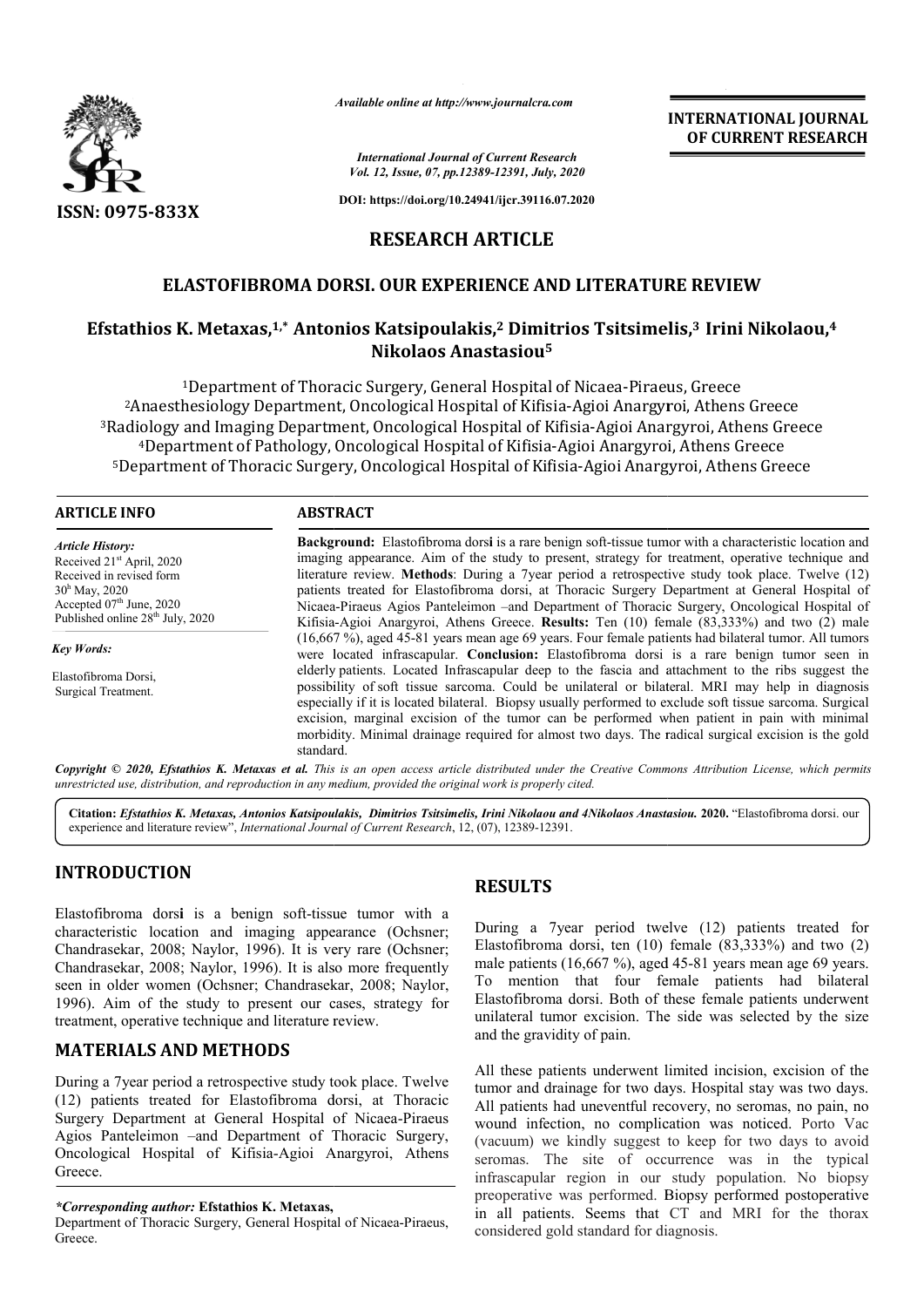

*Available online at http://www.journalcra.com*

*International Journal of Current Research Vol. 12, Issue, 07, pp.12389-12391, July, 2020*

**DOI: https://doi.org/10.24941/ijcr.39116.07.2020**

# **RESEARCH ARTICLE**

## **ELASTOFIBROMA DORSI. OUR EXPERIENCE AND LITERATURE REVIEW**

# ELASTOFIBROMA DORSI. OUR EXPERIENCE AND LITERATURE REVIEW<br><sup>2</sup> Efstathios K. Metaxas,<sup>1,\*</sup> Antonios Katsipoulakis,<sup>2</sup> Dimitrios Tsitsimelis,<sup>3</sup> Irini Nikolaou, **Nikolaos Anastasiou5**

<sup>1</sup>Department of Thoracic Surgery, General Hospital of Nicaea-Piraeus, Greece <sup>2</sup>Anaesthesiology Department, Oncological Hospital of Kifisia-Agioi Anargyroi, Athens Greece <sup>3</sup>Radiology and Imaging Department, Oncological Hospital of Kifisia-Agioi Anargyroi, Athens Greece <sup>4</sup>Department of Pathology, Oncological Hospital of Kifisia-Agioi Anargyroi, Athens Greece <sup>1</sup>Department of Thoracic Surgery, General Hospital of Nicaea-Piraeus, Greece<br><sup>2</sup>Anaesthesiology Department, Oncological Hospital of Kifisia-Agioi Anargyroi, Athens Greece<br><sup>2</sup>Radiology and Imaging Department, Oncological H

#### **ARTICLE INFO ABSTRACT**

*Article History:* Received 21<sup>st</sup> April, 2020 Received in revised form  $30<sup>h</sup>$  May, 2020 Accepted  $07<sup>th</sup>$  June, 2020 Published online 28<sup>th</sup> July, 2020

*Key Words:*

Elastofibroma Dorsi, Surgical Treatment.

**Background:**  Elastofibroma dors**i** is a rare benign soft-tissue tumor with a characteristic location and imaging appearance. Aim of the study to present, strategy for treatment, operative technique and **Background:** Elastofibroma dorsi is a rare benign soft-tissue tumor with a characteristic location and imaging appearance. Aim of the study to present, strategy for treatment, operative technique and literature review. **M** patients treated for Elastofibroma dorsi, at Thoracic Surgery Department at General Hospital of Nicaea Nicaea-Piraeus Agios Panteleimon –and Department of Thoracic Surgery, Oncological Hospital of Kifisia Kifisia-Agioi Anargyroi, Athens Greece. **Results:** Ten (10) female (83,333%) and two (2) male (16,667 %), aged 45 45-81 years mean age 69 years. Four female patients had bilateral tumor. All tumors were located infrascapular. **Conclusion:** Elastofibroma dorsi is a rare benign tumor seen in elderly patients. Located Infrascapular deep to the fascia and attachment to the ribs suggest the possibility of soft tissue sarcoma. Could be unilateral or bilateral. MRI may help in diagnosis especially if it is located bilateral. Biopsy usually performed to exclude soft tissue sarcoma. Surgical excision, marginal excision of the tumor can be performed when patient in pain with minimal excision, marginal excision of the tumor can be performed when patient in pain with minimal morbidity. Minimal drainage required for almost two days. The radical surgical excision is the gold standard. patients treated for Elastofibroma dorsi, at Thoracic Surgery Department at General Hospital of Nicaea-Piraeus Agios Panteleimon –and Department of Thoracic Surgery, Oncological Hospital of Kifisia-Agioi Anargyroi, Athens **INTERNATIONAL JOURNAL COF CURRENT RESEARCH**<br> **Solution** Cof **CURRENT RESEARCH**<br> **Solution**<br> **Solution**<br> **Solution**<br> **Solution**<br> **Solution**<br> **Solution**<br> **Solution**<br> **Solution**<br> **Solution**<br> **Solution**<br> **Example Cof Anargyro** 

Copyright © 2020, Efstathios K. Metaxas et al. This is an open access article distributed under the Creative Commons Attribution License, which permits *unrestricted use, distribution, and reproduction in any medium, provided the original work is properly cited.*

Citation: *Efstathios K. Metaxas, Antonios Katsipoulakis, Dimitrios Tsitsimelis, Irini Nikolaou and 4Nikolaos Anastasiou. 2020. "Elastofibroma dorsi. our* experience and literature review", *International Journal of Current Research*, 12, (07), 12389-12391.

# **INTRODUCTION**

Elastofibroma dorsi is a benign soft-tissue tumor with a characteristic location and imaging appearance (Ochsner; Chandrasekar, 2008; Naylor, 1996). It is very rare . (Ochsner; Chandrasekar, 2008; Naylor, 1996). It is also more frequently seen in older women (Ochsner; Chandrasekar, 2008; Naylor, 1996). Aim of the study to present our cases, strategy for treatment, operative technique and literature review.

## **MATERIALS AND METHODS**

During a 7year period a retrospective study took place. Twelve (12) patients treated for Elastofibroma dorsi, at Thoracic Surgery Department at General Hospital of Nicaea-Piraeus Agios Panteleimon –and Department of Thoracic Surgery, Agios Panteleimon –and Department of Thoracic Surgery,<br>Oncological Hospital of Kifisia-Agioi Anargyroi, Athens Greece.

#### *\*Corresponding author:* **Efstathios K. Metaxas,**

Department of Thoracic Surgery, General Hospital of Nicaea Nicaea-Piraeus, Greece.

# **RESULTS**

During a 7year period twelve (12) patients treated for Elastofibroma dorsi, ten (10) female (83,333%) and two (2) During a 7year period twelve (12) patients treated for Elastofibroma dorsi, ten (10) female (83,333%) and two (2) male patients (16,667 %), aged 45-81 years mean age 69 years. To mention that four female patients had bilateral Elastofibroma dorsi. Both of these female patients underwent unilateral tumor excision. The side was selected by the size and the gravidity of pain.

**INTERNATIONAL JOURNAL OF CURRENT RESEARCH**

All these patients underwent limited incision, excision of the tumor and drainage for two days. Hospital stay was two days. All patients had uneventful recovery, no seromas, no pain, no wound infection, no complication was noticed. (vacuum) we kindly suggest to keep for two days to avoid seromas. The site of occurrence was in the typical infrascapular region in our study population. No biopsy preoperative was performed. Biopsy performed postoperative in all patients. Seems that CT and MRI for the thorax considered gold standard for diagnosis. tumor excision. The side was selected by the size<br>avidity of pain.<br>patients underwent limited incision, excision of the<br>drainage for two days. Hospital stay was two days.<br>ts had uneventful recovery, no seromas, no pain, no we kindly suggest to keep for two days to avoid<br>The site of occurrence was in the typical<br>ar region in our study population. No biopsy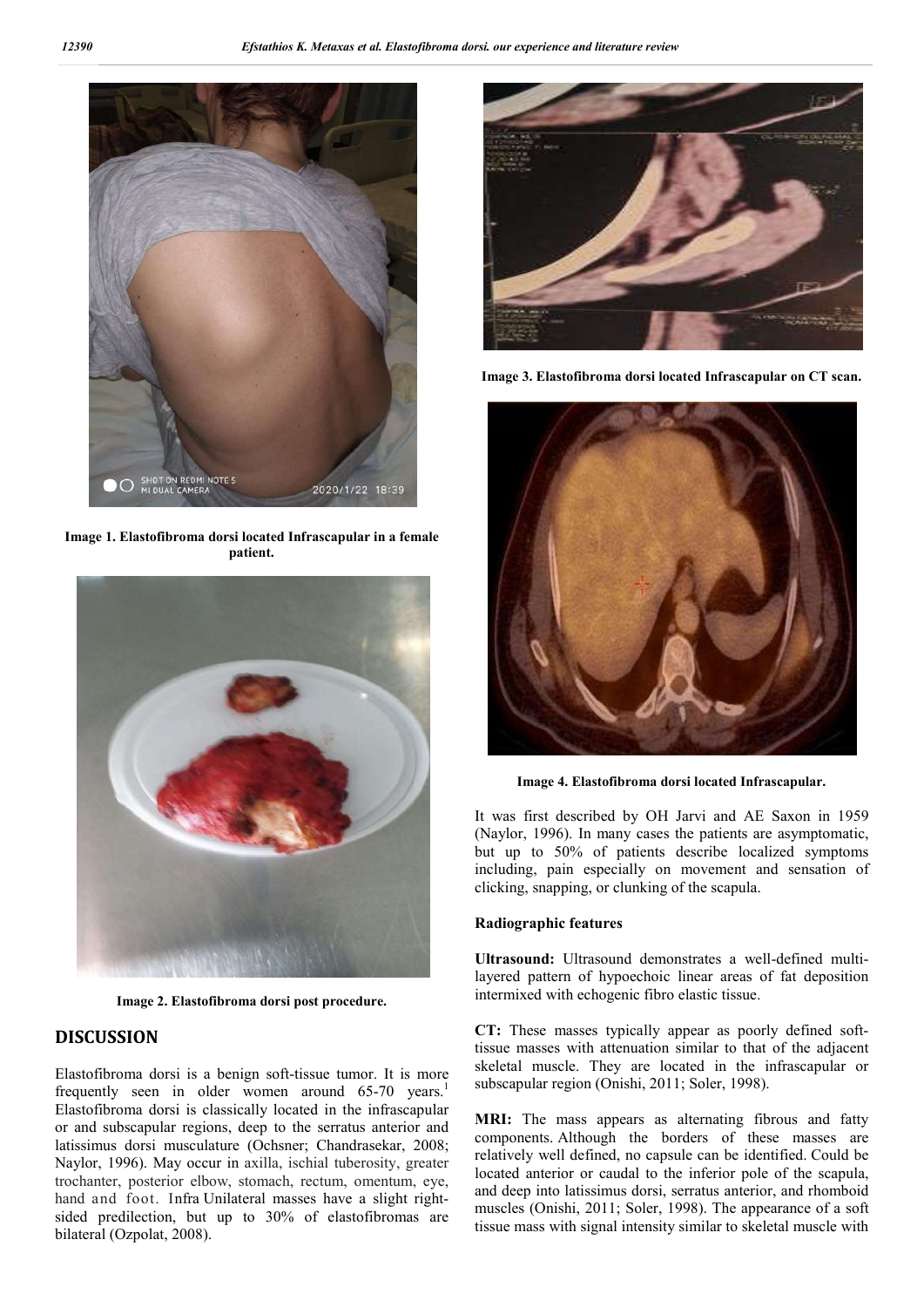

**Image 1. Elastofibroma dorsi located Infrascapular in a female patient.**



**Image 2. Elastofibroma dorsi post procedure.**

## **DISCUSSION**

Elastofibroma dorsi is a benign soft-tissue tumor. It is more frequently seen in older women around 65-70 years.<sup>1</sup> Elastofibroma dorsi is classically located in the infrascapular or and subscapular regions, deep to the serratus anterior and latissimus dorsi musculature (Ochsner; Chandrasekar, 2008; Naylor, 1996). May occur in axilla, ischial tuberosity, greater trochanter, posterior elbow, stomach, rectum, omentum, eye, hand and foot. Infra Unilateral masses have a slight rightsided predilection, but up to 30% of elastofibromas are bilateral (Ozpolat, 2008).



**Image 3. Elastofibroma dorsi located Infrascapular on CT scan.**



**Image 4. Elastofibroma dorsi located Infrascapular.**

It was first described by OH Jarvi and AE Saxon in 1959 (Naylor, 1996). In many cases the patients are asymptomatic, but up to 50% of patients describe localized symptoms including, pain especially on movement and sensation of clicking, snapping, or clunking of the scapula.

### **Radiographic features**

**Ultrasound:** Ultrasound demonstrates a well-defined multilayered pattern of hypoechoic linear areas of fat deposition intermixed with echogenic fibro elastic tissue.

**CT:** These masses typically appear as poorly defined softtissue masses with attenuation similar to that of the adjacent skeletal muscle. They are located in the infrascapular or subscapular region (Onishi, 2011; Soler, 1998).

**MRI:** The mass appears as alternating fibrous and fatty components. Although the borders of these masses are relatively well defined, no capsule can be identified. Could be located anterior or caudal to the inferior pole of the scapula, and deep into latissimus dorsi, serratus anterior, and rhomboid muscles (Onishi, 2011; Soler, 1998). The appearance of a soft tissue mass with signal intensity similar to skeletal muscle with